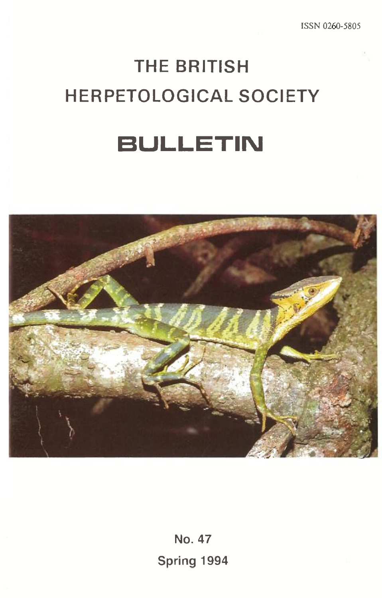# **THE BRITISH HERPETOLOGICAL SOCIETY**

# **BULLETIN**



**No. 47 Spring 1994**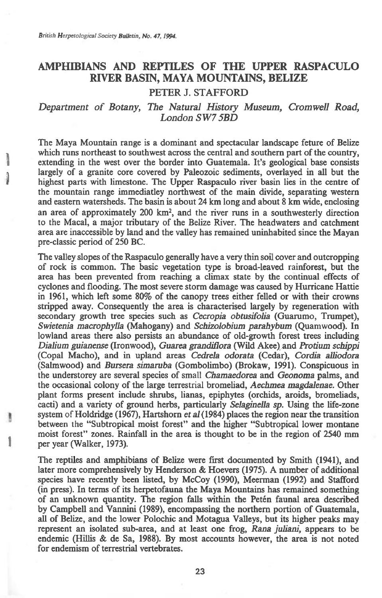# **AMPHIBIANS AND REPTILES OF THE UPPER RASPACULO RIVER BASIN, MAYA MOUNTAINS, BELIZE**

# **PETER J. STAFFORD**

# *Department of Botany, The Natural History Museum, Cromwell Road, London SW7 5BD*

The Maya Mountain range is a dominant and spectacular landscape feture of Belize which runs northeast to southwest across the central and southern part of the country, extending in the west over the border into Guatemala. It's geological base consists largely of a granite core covered by Paleozoic sediments, overlayed in all but the highest parts with limestone. The Upper Raspaculo river basin lies in the centre of the mountain range immediatley northwest of the main divide, separating western and eastern watersheds. The basin is about 24 km long and about 8 km wide, enclosing an area of approximately 200 km2, and the river runs in a southwesterly direction to the Macal, a major tributary of the Belize River. The headwaters and catchment area are inaccessible by land and the valley has remained uninhabited since the Mayan pre-classic period of 250 BC.

The valley slopes of the Raspaculo generally have a very thin soil cover and outcropping of rock is common. The basic vegetation type is broad-leaved rainforest, but the area has been prevented from reaching a climax state by the continual effects of cyclones and flooding. The most severe storm damage was caused by Hurricane Hattie in 1961, which left some 80% of the canopy trees either felled or with their crowns stripped away. Consequently the area is characterised largely by regeneration with secondary growth tree species such as *Cecropia obtusifolia* (Guarumo, Trumpet), *Swietenia macrophylla* (Mahogany) and *Schizolobium parahybum* (Quam wood). In lowland areas there also persists an abundance of old-growth forest trees including *Dialium guianense* (Ironwood), *Guarea granditlora* (Wild Akee), and *Protium schippi*  (Copal Macho), and in upland areas *Cedrela odorata* (Cedar), *Cordia alliodora*  (Salmwood) and *Bursera simaruba* (Gombolimbo) (Brokaw, 1991). Conspicuous in the understorey are several species of small *Chamaedorea* and *Geonoma* palms, and the occasional colony of the large terrestrial bromeliad, *Aechmea magdalenae.* Other plant forms present include shrubs, lianas, epiphytes (orchids, aroids, bromeliads, cacti) and a variety of ground herbs, particularly *Selaginella sp.* Using the life-zone system of Holdridge (1967), Hartshorn *et* a/ (1984) places the region near the transition between the "Subtropical moist forest" and the higher "Subtropical lower montane moist forest" zones. Rainfall in the area is thought to be in the region of 2540 mm per year (Walker, 1973).

The reptiles and amphibians of Belize were first documented by Smith (1941), and later more comprehensively by Henderson & Hoevers (1975). A number of additional species have recently been listed, by McCoy (1990), Meerman (1992) and Stafford (in press). In terms of its herpetofauna the Maya Mountains has remained something of an unknown quantity. The region falls within the Petén faunal area described by Campbell and Vannini (1989), encompassing the northern portion of Guatemala, all of Belize, and the lower Polochic and Motagua Valleys, but its higher peaks may represent an isolated sub-area, and at least one frog, *Rana juliani,* appears to be endemic (Hillis & de Sa, 1988). By most accounts however, the area is not noted for endemism of terrestrial vertebrates.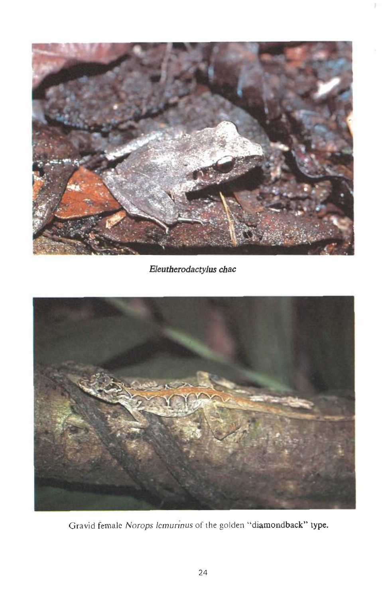

*Eleutherodactylus chac* 



Gravid female *Norops lcrnurinus* of the golden "diamondback" type.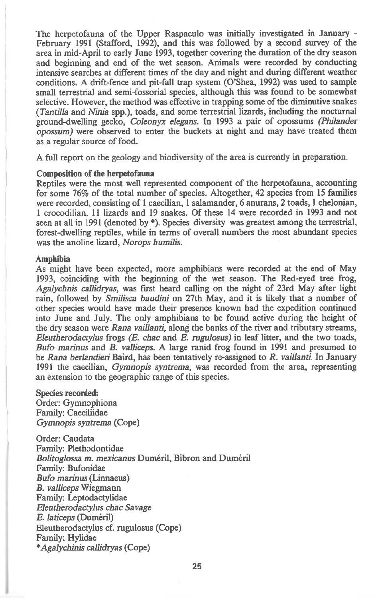The herpetofauna of the Upper Raspaculo was initially investigated in January - February 1991 (Stafford, 1992), and this was followed by a second survey of the area in mid-April to early June 1993, together covering the duration of the dry season and beginning and end of the wet season. Animals were recorded by conducting intensive searches at different times of the day and night and during different weather conditions. A drift-fence and pit-fall trap system (O'Shea, 1992) was used to sample small terrestrial and semi-fossorial species, although this was found to be somewhat selective. However, the method was effective in trapping some of the diminutive snakes *(Tantilla* and *Ninia* spp.), toads, and some terrestrial lizards, including the nocturnal ground-dwelling gecko, *Coleonyx elegans.* In 1993 a pair of opossums *(Philander opossum)* were observed to enter the buckets at night and may have treated them as a regular source of food.

A full report on the geology and biodiversity of the area is currently in preparation.

#### **Composition of the herpetofauna**

Reptiles were the most well represented component of the herpetofauna, accounting for some 76% of the total number of species. Altogether, 42 species from 15 families were recorded, consisting of 1 caecilian, 1 salamander, 6 anurans, 2 toads, 1 chelonian, **<sup>1</sup>**crocodilian, 11 lizards and 19 snakes. Of these 14 were recorded in 1993 and not seen at all in 1991 (denoted by \*). Species diversity was greatest among the terrestrial, forest-dwelling reptiles, while in terms of overall numbers the most abundant species was the anoline lizard, *Norops humilis.* 

#### **Amphibia**

As might have been expected, more amphibians were recorded at the end of May 1993, coinciding with the beginning of the wet season. The Red-eyed tree frog, *Agalychnis callidryas,* was first heard calling on the night of 23rd May after light rain, followed by *Smilisca baudini* on 27th May, and it is likely that a number of other species would have made their presence known had the expedition continued into June and July. The only amphibians to be found active during the height of the dry season were Rana *vaillanti,* along the banks of the river and tributary streams, *Eleutherodactylus* frogs *(E. chac* and *E. rugulosus) in* leaf litter, and the two toads, *Bufo marinus* and *B. valliceps.* A large ranid frog found in 1991 and presumed to be *Rana berlandieri* Baird, has been tentatively re-assigned to *R. vaillanti.* In January 1991 the caecilian, *Gymnopis syntrema,* was recorded from the area, representing an extension to the geographic range of this species.

### Species **recorded:**

Order: Gymnophiona Family: Caeciliidae *Gymnopis syntrema* (Cope)

Order: Caudata Family: Plethodontidae *Bolitoglossa m. mexicanus* Dumeril, Bibron and Dumeril Family: Bufonidae *Bufo marinus* (Linnaeus) *B. valliceps* Wiegmann Family: Leptodactylidae *Eleutherodactylus chac Savage*   $E.$  *laticeps* (Duméril) Eleutherodactylus cf. rugulosus (Cope) Family: Hylidae *\*Agalychinis callidryas* (Cope)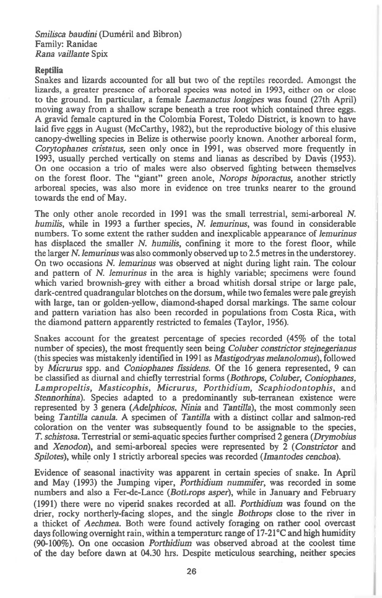*Smilisca baudini* (Duméril and Bibron) Family: Ranidae *Rana vaillante* Spix

#### Reptilia

Snakes and lizards accounted for all but two of the reptiles recorded. Amongst the lizards, a greater presence of arboreal species was noted in 1993, either on or close to the ground. In particular, a female *Laemanctus longipes* was found (27th April) moving away from a shallow scrape beneath a tree root which contained three eggs. A gravid female captured in the Colombia Forest, Toledo District, is known to have laid five eggs in August (McCarthy, 1982), but the reproductive biology of this elusive canopy-dwelling species in Belize is otherwise poorly known. Another arboreal form, *Corytophanes cristatus,* seen only once in 1991, was observed more frequently in 1993, usually perched vertically on stems and lianas as described by Davis (1953). On one occasion a trio of males were also observed fighting between themselves on the forest floor. The "giant" green anole, *Norops biporactus,* another strictly arboreal species, was also more in evidence on tree trunks nearer to the ground towards the end of May.

The only other anole recorded in 1991 was the small terrestrial, semi-arboreal *N. humilis,* while in 1993 a further species, *N. lemurinus,* was found in considerable numbers. To some extent the rather sudden and inexplicable appearance of *lemurinus*  has displaced the smaller *N. humilis,* confining it more to the forest floor, while the larger *N. lemurinus* was also commonly observed up to 2.5 metres in the understorey. On two occasions *N. lemurinus* was observed at night during light rain. The colour and pattern of *N. lemurinus* in the area is highly variable; specimens were found which varied brownish-grey with either a broad whitish dorsal stripe or large pale, dark-centred quadrangular blotches on the dorsum, while two females were pale greyish with large, tan or golden-yellow, diamond-shaped dorsal markings. The same colour and pattern variation has also been recorded in populations from Costa Rica, with the diamond pattern apparently restricted to females (Taylor, 1956).

Snakes account for the greatest percentage of species recorded (45% of the total number of species), the most frequently seen being *Coluber constrictor stejnegerianus*  (this species was mistakenly identified in 1991 *as Mastigodryas melanolomus),* followed by *Micrurus* spp. and *Coniophanes fissidens.* Of the 16 genera represented, 9 can be classified as diurnal and chiefly terrestrial forms *(Bothrops, Coluber, Coniophanes, Lampropeltis, Masticophis, Micrurus, Porthidium, Scaphiodontophis,* and *Stennorhina).* Species adapted to a predominantly sub-terranean existence were represented by 3 genera *(Adelphicos, Ninia* and *TantiIla),* the most commonly seen being *Tantilla canula.* A specimen of *Tantilla* with a distinct collar and salmon-red coloration on the venter was subsequently found to be assignable to the species, *T. schistosa.* Terrestrial or semi-aquatic species further comprised 2 genera *(Drymobius*  and *Xenodon),* and semi-arboreal species were represented by 2 *(Constrictor* and *Spilotes),* while only 1 strictly arboreal species was recorded *(Imantodes cenchoa).* 

Evidence of seasonal inactivity was apparent in certain species of snake. In April and May (1993) the Jumping viper, *Porthidium nummifer,* was recorded in some numbers and also a Fer-de-Lance *(Bothrops asper),* while in January and February (1991) there were no viperid snakes recorded at *all. Porthidium* was found on the drier, rocky northerly-facing slopes, and the single *Bothrops* close to the river in a thicket of *Aechmea.* Both were found actively foraging on rather cool overcast days following overnight rain, within a temperature range of 17-21°C and high humidity (90-100%). On one occasion *Porthidium* was observed abroad at the coolest time of the day before dawn at 04.30 hrs. Despite meticulous searching, neither species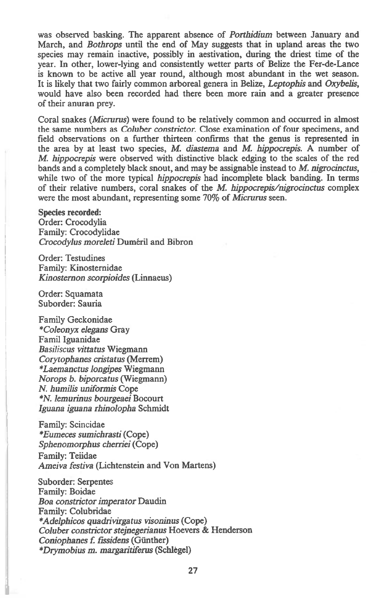was observed basking. The apparent absence of *Porthidium* between January and March, and *Bothrops* until the end of May suggests that in upland areas the two species may remain inactive, possibly in aestivation, during the driest time of the year. In other, lower-lying and consistently wetter parts of Belize the Fer-de-Lance is known to be active all year round, although most abundant in the wet season. It is likely that two fairly common arboreal genera in Belize, *Leptophis* and *Oxybelis,*  would have also been recorded had there been more rain and a greater presence of their anuran prey.

Coral snakes *(Micrurus)* were found to be relatively common and occurred in almost the same numbers *as Coluber constrictor.* Close examination of four specimens, and field observations on a further thirteen confirms that the genus is represented in the area by at least two species, M. *diastema* and *M hippocrepis.* A number of *M. hippocrepis* were observed with distinctive black edging to the scales of the red bands and a completely black snout, and may be assignable instead to M. *nigrocinctus,*  while two of the more typical *hippocrepis* had incomplete black banding. In terms of their relative numbers, coral snakes of the M. *hippocrepis/nigrocinctus* complex were the most abundant, representing some 70% of *Micrurus* seen.

#### **Species recorded:**

Order: Crocodylia Family: Crocodylidae *Crocodylus moreleti* Dumeril and Bibron

Order: Testudines Family: Kinosternidae *Kinosternon scorpioides* (Linnaeus)

Order: Squamata Suborder: Sauria

I.

Family Geckonidae *\*Coleonyx elegans* Gray Famil Iguanidae *Basiliscus vittatus* Wiegmann *Corytophanes cristatus* (Merrem) *\*Laemanctus longipes* Wiegmann *Norops b. biporcatus* (Wiegmann) *N. humilis uniformis* Cope *\*N. lemurinus bourgeaei* Bocourt *Iguana iguana rhinolopha* Schmidt

Family: Scincidae *\*Eumeces sumichrasti* (Cope) *Sphenomorphus cherriei* (Cope) Family: Teiidae *Ameiva festiva* (Lichtenstein and Von Martens)

Suborder: Serpentes Family: Boidae *Boa constrictor imperator* Daudin Family: Colubridae *\*Adelphicos quadrivirgatus visoninus* (Cope) *Coluber constrictor stejnegerianus* Hoevers & Henderson *Coniophanes L fissidens* (Gunther) *\*Thymobius m. margaritiferus* (Schltgel)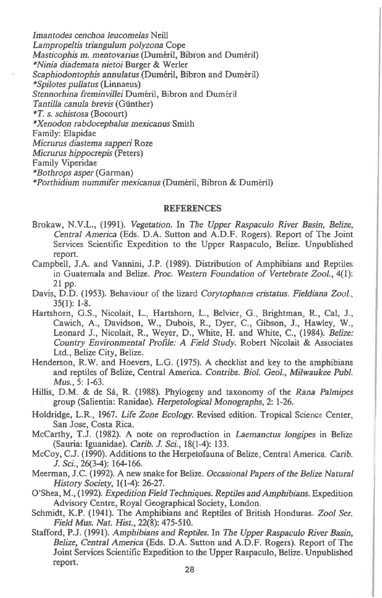*Imantodes cenchoa leucomelas* Neill *Lampropeltis triangulum polyzona* Cope *Masticophis m. mentovarius* (Duméril, Bibron and Duméril) *\*Ninia diademata nietoi* Burger & Werler Scaphiodontophis annulatus (Duméril, Bibron and Duméril) *\*Spilotes pullatus* (Linnaeus) *Stennorhina freminvillei Duméril*, Bibron and Duméril *Tantilla canula brevis* (Gunther) *\*T. s. schistosa* (Bocourt) *\*Xenodon rabdocephalus mexicanus* Smith Family: Elapidae *Micrurus diastema sapperi* Roze *Micrurus hippocrepis* (Peters) Family Viperidae *\*Bothrops asper* (Garman) *\*Porthidium nummifer mexicanus* (Dumeril, Bibron & Dumeril)

#### **REFERENCES**

- Brokaw, N.V.L., (1991). *Vegetation.* In *The Upper Raspaculo River Basin, Belize, Central America* (Eds. D.A. Sutton and A.D.F. Rogers). Report of The Joint Services Scientific Expedition to the Upper Raspaculo, Belize. Unpublished report.
- Campbell, J.A. and Vannini, J.P. (1989). Distribution of Amphibians and Reptiles in Guatemala and Belize. *Proc. Western Foundation of Vertebrate ZooL,* 4(1): 21 pp.
- Davis, D.D. (1953). Behaviour of the lizard *Corytophanes cristatus. Fieldiana Zool.,*  35(1): 1-8.
- Hartshorn, G.S., Nicolait, L., Hartshorn, L., Belvier, G., Brightman, R., Cal, J., Cawich, A., Davidson, W., Dubois, R., Dyer, C., Gibson, J., Hawley, W., Leonard J., Nicolait, R., Weyer, D., White, H. and White, C., (1984). *Belize: Country Environmental Profile: A Field Study.* Robert Nicolait & Associates Ltd., Belize City, Belize.
- Henderson, R.W. and Hoevers, L.G. (1975). A checklist and key to the amphibians and reptiles of Belize, Central America. *Contribs. BioL Geol., Milwaukee Publ. Mus.,* 5: 1-63.
- Hillis, D.M. & de Sá, R. (1988). Phylogeny and taxonomy of the *Rana Palmipes* group (Salientia: Ranidae). *Herpetological Monographs,* 2: 1-26.
- Holdridge, L.R., 1967. *Life Zone Ecology.* Revised edition. Tropical Science Center, San Jose, Costa Rica.
- McCarthy, T.J. (1982). A note on reproduction *in Laemanctus longipes* in Belize (Sauria: Iguanidae). *Carib. J. Sci.,* 18(1-4): 133.
- McCoy, C.J. (1990). Additions to the Herpetofauna of Belize, Central America. *Carib. J. Sci.,* 26(3-4): 164-166.
- Meerman, J.C. (1992). A new snake for Belize. *Occasional Papers of the Belize Natural History Society,* 1(1-4): 26-27.
- O'Shea, M., (1992). *Expedition Field Techniques. Reptiles and Amphibians.* Expedition Advisory Centre, Royal Geographical Society, London.
- Schmidt, K.P. (1941). The Amphibians and Reptiles of British Honduras. *Zool Ser. Field Mus. Nat. Hist.,* 22(8): 475-510.
- Stafford, P.J. (1991). *Amphibians and Reptiles.* In *The Upper Raspaculo River Basin, Belize, Central America* (Eds. D.A. Sutton and A.D.F. Rogers). Report of The Joint Services Scientific Expedition to the Upper Raspaculo, Belize. Unpublished report.